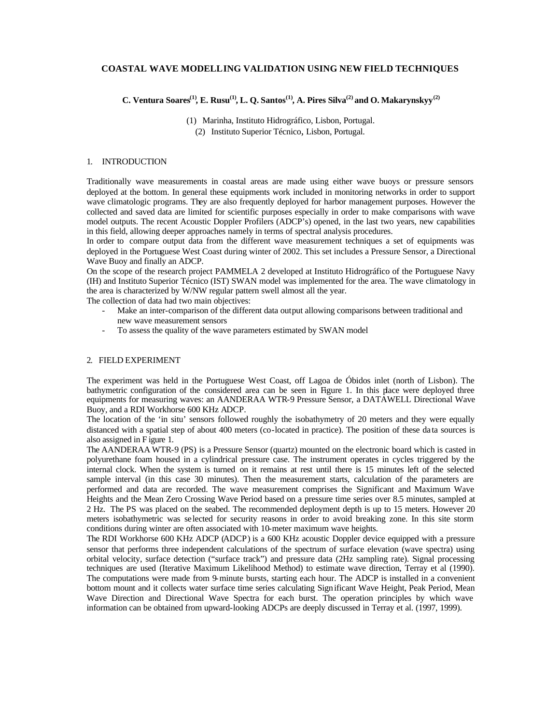## **COASTAL WAVE MODELLING VALIDATION USING NEW FIELD TECHNIQUES**

# **C. Ventura Soares(1), E. Rusu(1), L. Q. Santos(1), A. Pires Silva(2) and O. Makarynskyy(2)**

(1) Marinha, Instituto Hidrográfico, Lisbon, Portugal. (2) Instituto Superior Técnico, Lisbon, Portugal.

## 1. INTRODUCTION

Traditionally wave measurements in coastal areas are made using either wave buoys or pressure sensors deployed at the bottom. In general these equipments work included in monitoring networks in order to support wave climatologic programs. They are also frequently deployed for harbor management purposes. However the collected and saved data are limited for scientific purposes especially in order to make comparisons with wave model outputs. The recent Acoustic Doppler Profilers (ADCP's) opened, in the last two years, new capabilities in this field, allowing deeper approaches namely in terms of spectral analysis procedures.

In order to compare output data from the different wave measurement techniques a set of equipments was deployed in the Portuguese West Coast during winter of 2002. This set includes a Pressure Sensor, a Directional Wave Buoy and finally an ADCP.

On the scope of the research project PAMMELA 2 developed at Instituto Hidrográfico of the Portuguese Navy (IH) and Instituto Superior Técnico (IST) SWAN model was implemented for the area. The wave climatology in the area is characterized by W/NW regular pattern swell almost all the year.

The collection of data had two main objectives:

- Make an inter-comparison of the different data output allowing comparisons between traditional and new wave measurement sensors
- To assess the quality of the wave parameters estimated by SWAN model

# 2. FIELD EXPERIMENT

The experiment was held in the Portuguese West Coast, off Lagoa de Óbidos inlet (north of Lisbon). The bathymetric configuration of the considered area can be seen in Figure 1. In this place were deployed three equipments for measuring waves: an AANDERAA WTR-9 Pressure Sensor, a DATAWELL Directional Wave Buoy, and a RDI Workhorse 600 KHz ADCP.

The location of the 'in situ' sensors followed roughly the isobathymetry of 20 meters and they were equally distanced with a spatial step of about 400 meters (co-located in practice). The position of these data sources is also assigned in F igure 1.

The AANDERAA WTR-9 (PS) is a Pressure Sensor (quartz) mounted on the electronic board which is casted in polyurethane foam housed in a cylindrical pressure case. The instrument operates in cycles triggered by the internal clock. When the system is turned on it remains at rest until there is 15 minutes left of the selected sample interval (in this case 30 minutes). Then the measurement starts, calculation of the parameters are performed and data are recorded. The wave measurement comprises the Significant and Maximum Wave Heights and the Mean Zero Crossing Wave Period based on a pressure time series over 8.5 minutes, sampled at 2 Hz. The PS was placed on the seabed. The recommended deployment depth is up to 15 meters. However 20 meters isobathymetric was selected for security reasons in order to avoid breaking zone. In this site storm conditions during winter are often associated with 10-meter maximum wave heights.

The RDI Workhorse 600 KHz ADCP (ADCP) is a 600 KHz acoustic Doppler device equipped with a pressure sensor that performs three independent calculations of the spectrum of surface elevation (wave spectra) using orbital velocity, surface detection ("surface track") and pressure data (2Hz sampling rate). Signal processing techniques are used (Iterative Maximum Likelihood Method) to estimate wave direction, Terray et al (1990). The computations were made from 9-minute bursts, starting each hour. The ADCP is installed in a convenient bottom mount and it collects water surface time series calculating Significant Wave Height, Peak Period, Mean Wave Direction and Directional Wave Spectra for each burst. The operation principles by which wave information can be obtained from upward-looking ADCPs are deeply discussed in Terray et al. (1997, 1999).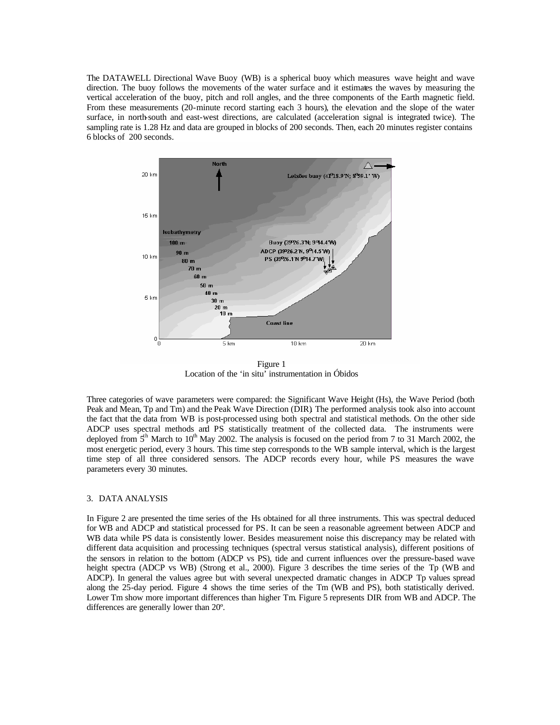The DATAWELL Directional Wave Buoy (WB) is a spherical buoy which measures wave height and wave direction. The buoy follows the movements of the water surface and it estimates the waves by measuring the vertical acceleration of the buoy, pitch and roll angles, and the three components of the Earth magnetic field. From these measurements (20-minute record starting each 3 hours), the elevation and the slope of the water surface, in north-south and east-west directions, are calculated (acceleration signal is integrated twice). The sampling rate is 1.28 Hz and data are grouped in blocks of 200 seconds. Then, each 20 minutes register contains 6 blocks of 200 seconds.



Figure 1 Location of the 'in situ' instrumentation in Óbidos

Three categories of wave parameters were compared: the Significant Wave Height (Hs), the Wave Period (both Peak and Mean, Tp and Tm) and the Peak Wave Direction (DIR). The performed analysis took also into account the fact that the data from WB is post-processed using both spectral and statistical methods. On the other side ADCP uses spectral methods and PS statistically treatment of the collected data. The instruments were deployed from  $5<sup>th</sup>$  March to 10<sup>th</sup> May 2002. The analysis is focused on the period from 7 to 31 March 2002, the most energetic period, every 3 hours. This time step corresponds to the WB sample interval, which is the largest time step of all three considered sensors. The ADCP records every hour, while PS measures the wave parameters every 30 minutes.

# 3. DATA ANALYSIS

In Figure 2 are presented the time series of the Hs obtained for all three instruments. This was spectral deduced for WB and ADCP and statistical processed for PS. It can be seen a reasonable agreement between ADCP and WB data while PS data is consistently lower. Besides measurement noise this discrepancy may be related with different data acquisition and processing techniques (spectral versus statistical analysis), different positions of the sensors in relation to the bottom (ADCP vs PS), tide and current influences over the pressure-based wave height spectra (ADCP vs WB) (Strong et al., 2000). Figure 3 describes the time series of the Tp (WB and ADCP). In general the values agree but with several unexpected dramatic changes in ADCP Tp values spread along the 25-day period. Figure 4 shows the time series of the Tm (WB and PS), both statistically derived. Lower Tm show more important differences than higher Tm. Figure 5 represents DIR from WB and ADCP. The differences are generally lower than 20º.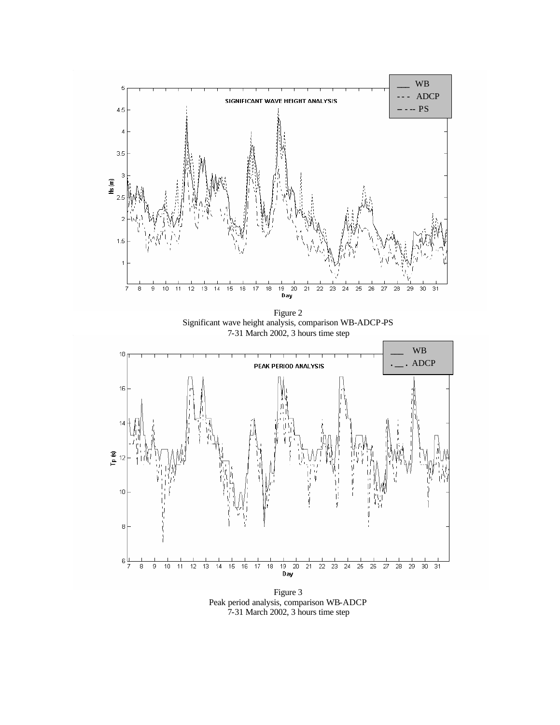

Figure 2 Significant wave height analysis, comparison WB-ADCP-PS 7-31 March 2002, 3 hours time step



Figure 3 Peak period analysis, comparison WB-ADCP 7-31 March 2002, 3 hours time step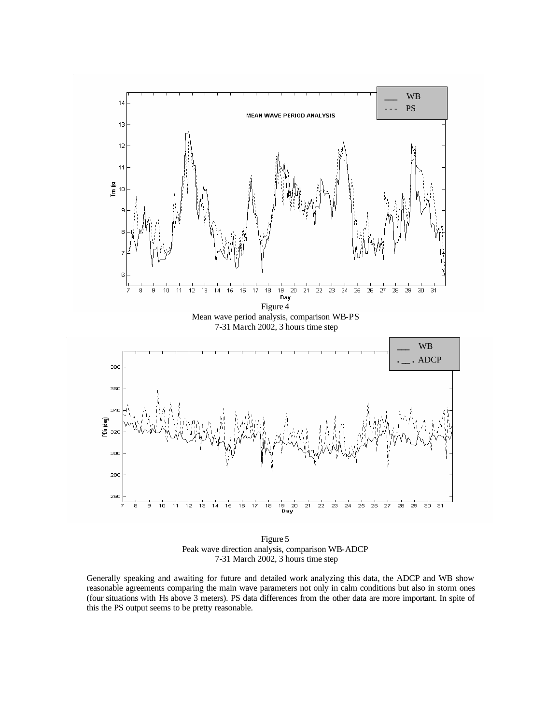

Figure 5 Peak wave direction analysis, comparison WB-ADCP 7-31 March 2002, 3 hours time step

Generally speaking and awaiting for future and detailed work analyzing this data, the ADCP and WB show reasonable agreements comparing the main wave parameters not only in calm conditions but also in storm ones (four situations with Hs above 3 meters). PS data differences from the other data are more important. In spite of this the PS output seems to be pretty reasonable.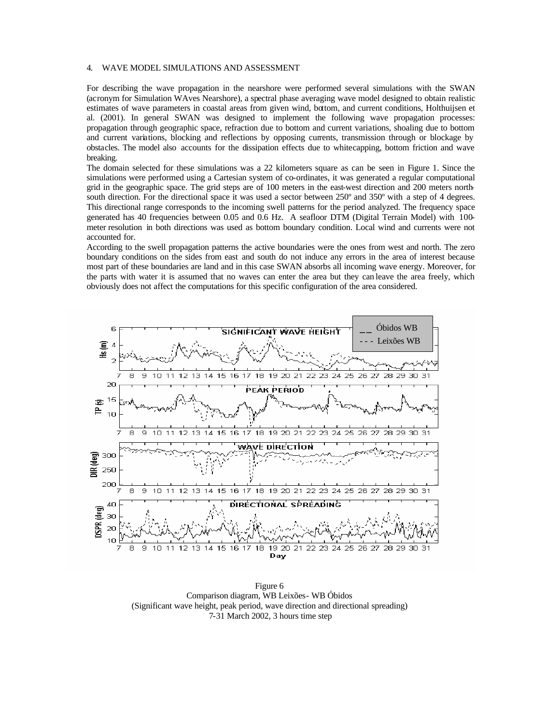### 4. WAVE MODEL SIMULATIONS AND ASSESSMENT

For describing the wave propagation in the nearshore were performed several simulations with the SWAN (acronym for Simulation WAves Nearshore), a spectral phase averaging wave model designed to obtain realistic estimates of wave parameters in coastal areas from given wind, bottom, and current conditions, Holthuijsen et al. (2001). In general SWAN was designed to implement the following wave propagation processes: propagation through geographic space, refraction due to bottom and current variations, shoaling due to bottom and current variations, blocking and reflections by opposing currents, transmission through or blockage by obstacles. The model also accounts for the dissipation effects due to whitecapping, bottom friction and wave breaking.

The domain selected for these simulations was a 22 kilometers square as can be seen in Figure 1. Since the simulations were performed using a Cartesian system of co-ordinates, it was generated a regular computational grid in the geographic space. The grid steps are of 100 meters in the east-west direction and 200 meters northsouth direction. For the directional space it was used a sector between 250<sup>°</sup> and 350<sup>°</sup> with a step of 4 degrees. This directional range corresponds to the incoming swell patterns for the period analyzed. The frequency space generated has 40 frequencies between 0.05 and 0.6 Hz. A seafloor DTM (Digital Terrain Model) with 100 meter resolution in both directions was used as bottom boundary condition. Local wind and currents were not accounted for.

According to the swell propagation patterns the active boundaries were the ones from west and north. The zero boundary conditions on the sides from east and south do not induce any errors in the area of interest because most part of these boundaries are land and in this case SWAN absorbs all incoming wave energy. Moreover, for the parts with water it is assumed that no waves can enter the area but they can leave the area freely, which obviously does not affect the computations for this specific configuration of the area considered.



Figure 6 Comparison diagram, WB Leixões- WB Óbidos (Significant wave height, peak period, wave direction and directional spreading) 7-31 March 2002, 3 hours time step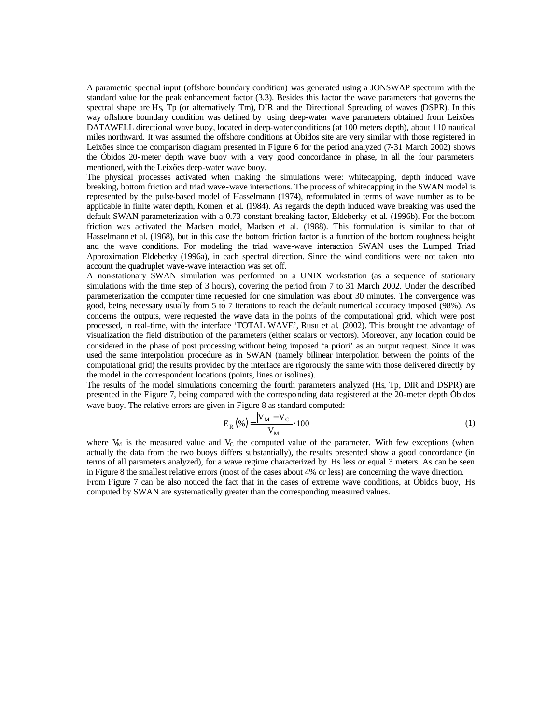A parametric spectral input (offshore boundary condition) was generated using a JONSWAP spectrum with the standard value for the peak enhancement factor (3.3). Besides this factor the wave parameters that governs the spectral shape are Hs, Tp (or alternatively Tm), DIR and the Directional Spreading of waves (DSPR). In this way offshore boundary condition was defined by using deep-water wave parameters obtained from Leixões DATAWELL directional wave buoy, located in deep-water conditions (at 100 meters depth), about 110 nautical miles northward. It was assumed the offshore conditions at Óbidos site are very similar with those registered in Leixões since the comparison diagram presented in Figure 6 for the period analyzed (7-31 March 2002) shows the Óbidos 20-meter depth wave buoy with a very good concordance in phase, in all the four parameters mentioned, with the Leixões deep-water wave buoy.

The physical processes activated when making the simulations were: whitecapping, depth induced wave breaking, bottom friction and triad wave-wave interactions. The process of whitecapping in the SWAN model is represented by the pulse-based model of Hasselmann (1974), reformulated in terms of wave number as to be applicable in finite water depth, Komen et al. (1984). As regards the depth induced wave breaking was used the default SWAN parameterization with a 0.73 constant breaking factor, Eldeberky et al. (1996b). For the bottom friction was activated the Madsen model, Madsen et al. (1988). This formulation is similar to that of Hasselmann et al. (1968), but in this case the bottom friction factor is a function of the bottom roughness height and the wave conditions. For modeling the triad wave-wave interaction SWAN uses the Lumped Triad Approximation Eldeberky (1996a), in each spectral direction. Since the wind conditions were not taken into account the quadruplet wave-wave interaction was set off.

A non-stationary SWAN simulation was performed on a UNIX workstation (as a sequence of stationary simulations with the time step of 3 hours), covering the period from 7 to 31 March 2002. Under the described parameterization the computer time requested for one simulation was about 30 minutes. The convergence was good, being necessary usually from 5 to 7 iterations to reach the default numerical accuracy imposed (98%). As concerns the outputs, were requested the wave data in the points of the computational grid, which were post processed, in real-time, with the interface 'TOTAL WAVE', Rusu et al. (2002). This brought the advantage of visualization the field distribution of the parameters (either scalars or vectors). Moreover, any location could be considered in the phase of post processing without being imposed 'a priori' as an output request. Since it was used the same interpolation procedure as in SWAN (namely bilinear interpolation between the points of the computational grid) the results provided by the interface are rigorously the same with those delivered directly by the model in the correspondent locations (points, lines or isolines).

The results of the model simulations concerning the fourth parameters analyzed (Hs, Tp, DIR and DSPR) are presented in the Figure 7, being compared with the corresponding data registered at the 20-meter depth Óbidos wave buoy. The relative errors are given in Figure 8 as standard computed:

$$
E_R(\%)=\frac{|V_M - V_C|}{V_M} \cdot 100\tag{1}
$$

where  $V_M$  is the measured value and  $V_C$  the computed value of the parameter. With few exceptions (when actually the data from the two buoys differs substantially), the results presented show a good concordance (in terms of all parameters analyzed), for a wave regime characterized by Hs less or equal 3 meters. As can be seen in Figure 8 the smallest relative errors (most of the cases about 4% or less) are concerning the wave direction. From Figure 7 can be also noticed the fact that in the cases of extreme wave conditions, at Óbidos buoy, Hs computed by SWAN are systematically greater than the corresponding measured values.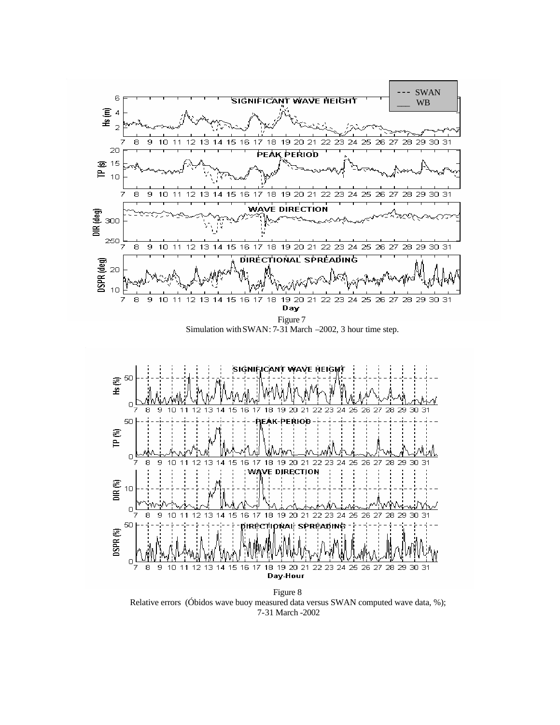



Figure 8 Relative errors (Óbidos wave buoy measured data versus SWAN computed wave data, %); 7-31 March -2002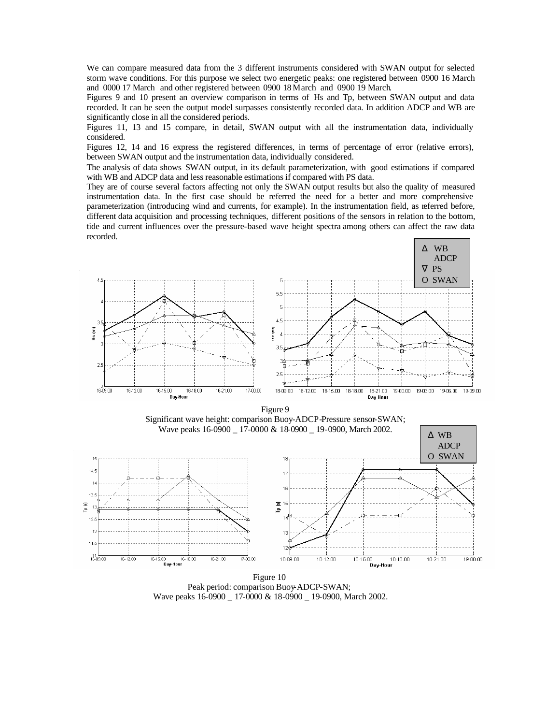We can compare measured data from the 3 different instruments considered with SWAN output for selected storm wave conditions. For this purpose we select two energetic peaks: one registered between 0900 16 March and 0000 17 March and other registered between 0900 18 March and 0900 19 March.

Figures 9 and 10 present an overview comparison in terms of Hs and Tp, between SWAN output and data recorded. It can be seen the output model surpasses consistently recorded data. In addition ADCP and WB are significantly close in all the considered periods.

Figures 11, 13 and 15 compare, in detail, SWAN output with all the instrumentation data, individually considered.

Figures 12, 14 and 16 express the registered differences, in terms of percentage of error (relative errors), between SWAN output and the instrumentation data, individually considered.

The analysis of data shows SWAN output, in its default parameterization, with good estimations if compared with WB and ADCP data and less reasonable estimations if compared with PS data.

They are of course several factors affecting not only the SWAN output results but also the quality of measured instrumentation data. In the first case should be referred the need for a better and more comprehensive parameterization (introducing wind and currents, for example). In the instrumentation field, as referred before, different data acquisition and processing techniques, different positions of the sensors in relation to the bottom, tide and current influences over the pressure-based wave height spectra among others can affect the raw data recorded.



Figure 9 Significant wave height: comparison Buoy-ADCP-Pressure sensor-SWAN; Wave peaks 16-0900 \_ 17-0000 & 18-0900 \_ 19-0900, March 2002.



Figure 10 Peak period: comparison Buoy-ADCP-SWAN; Wave peaks 16-0900 \_ 17-0000 & 18-0900 \_ 19-0900, March 2002.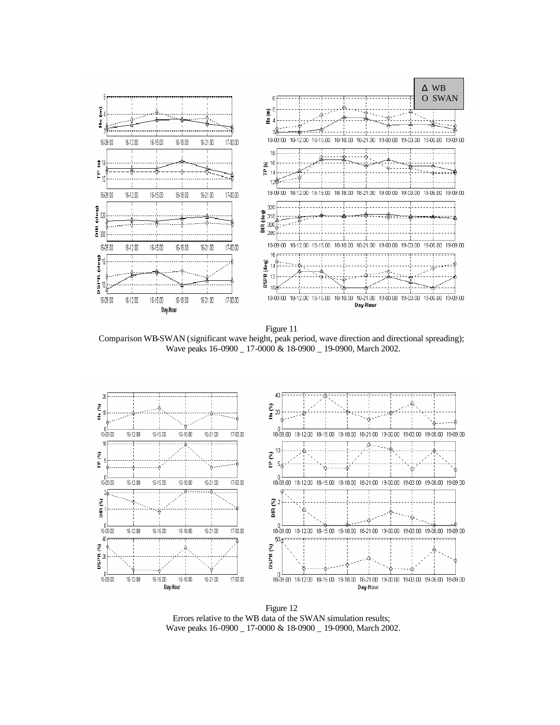

Figure 11 Comparison WB-SWAN (significant wave height, peak period, wave direction and directional spreading); Wave peaks 16-0900 \_ 17-0000 & 18-0900 \_ 19-0900, March 2002.



Figure 12 Errors relative to the WB data of the SWAN simulation results; Wave peaks 16-0900 \_ 17-0000 & 18-0900 \_ 19-0900, March 2002.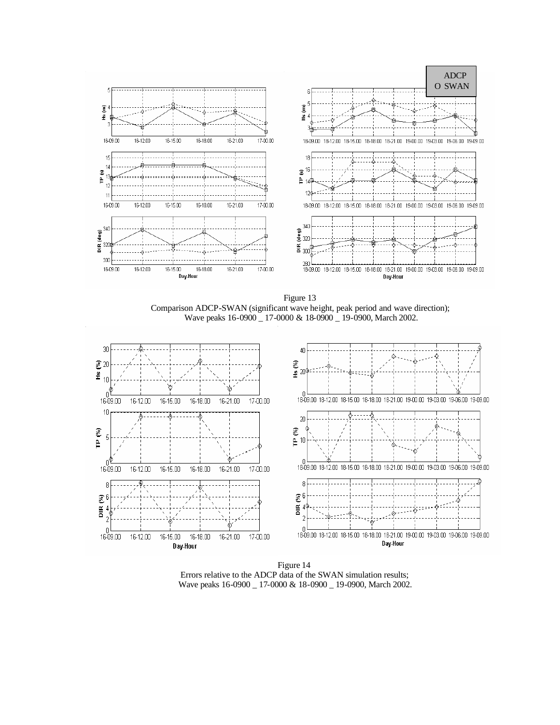

Figure 13 Comparison ADCP-SWAN (significant wave height, peak period and wave direction); Wave peaks 16-0900 \_ 17-0000 & 18-0900 \_ 19-0900, March 2002.



Figure 14 Errors relative to the ADCP data of the SWAN simulation results; Wave peaks 16-0900 \_ 17-0000 & 18-0900 \_ 19-0900, March 2002.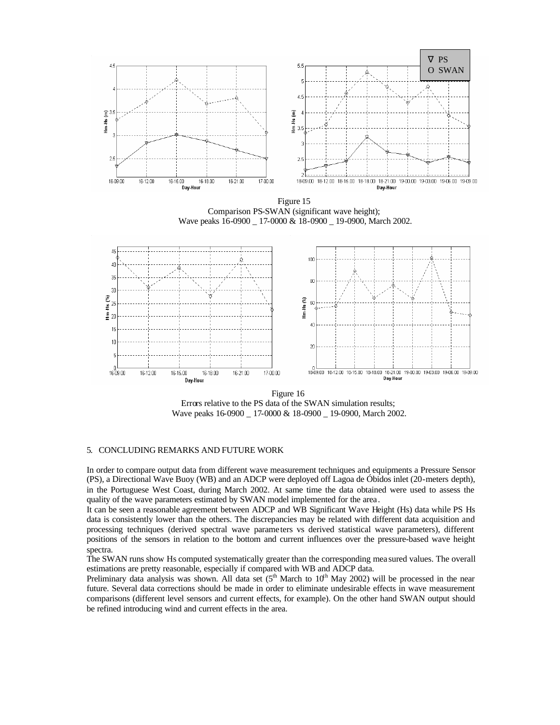

Errors relative to the PS data of the SWAN simulation results; Wave peaks 16-0900 \_ 17-0000 & 18-0900 \_ 19-0900, March 2002.

# 5. CONCLUDING REMARKS AND FUTURE WORK

In order to compare output data from different wave measurement techniques and equipments a Pressure Sensor (PS), a Directional Wave Buoy (WB) and an ADCP were deployed off Lagoa de Óbidos inlet (20-meters depth), in the Portuguese West Coast, during March 2002. At same time the data obtained were used to assess the quality of the wave parameters estimated by SWAN model implemented for the area.

It can be seen a reasonable agreement between ADCP and WB Significant Wave Height (Hs) data while PS Hs data is consistently lower than the others. The discrepancies may be related with different data acquisition and processing techniques (derived spectral wave parame ters vs derived statistical wave parameters), different positions of the sensors in relation to the bottom and current influences over the pressure-based wave height spectra.

The SWAN runs show Hs computed systematically greater than the corresponding mea sured values. The overall estimations are pretty reasonable, especially if compared with WB and ADCP data.

Preliminary data analysis was shown. All data set  $(5^{th}$  March to  $10^{th}$  May 2002) will be processed in the near future. Several data corrections should be made in order to eliminate undesirable effects in wave measurement comparisons (different level sensors and current effects, for example). On the other hand SWAN output should be refined introducing wind and current effects in the area.